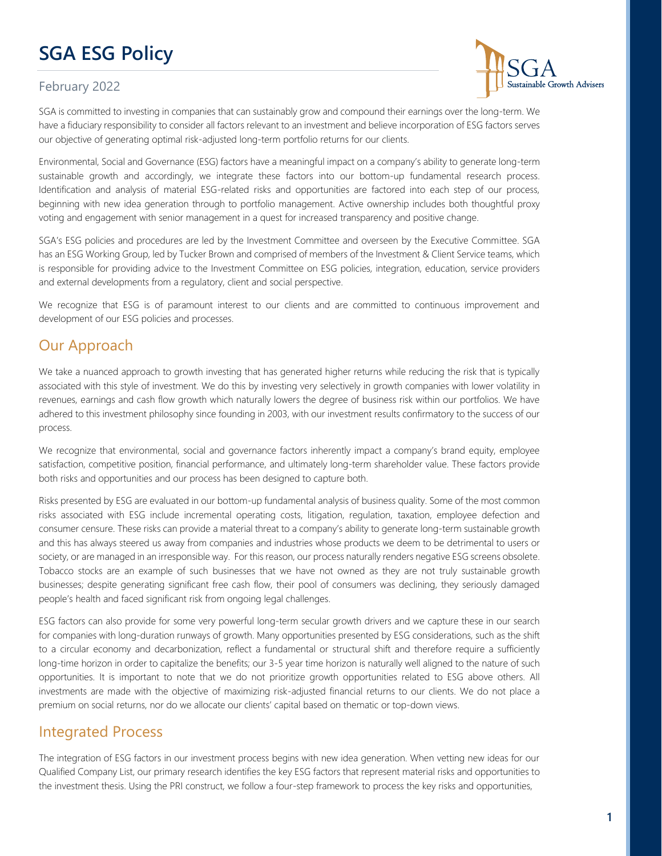# **SGA ESG Policy**

#### February 2022



SGA is committed to investing in companies that can sustainably grow and compound their earnings over the long-term. We have a fiduciary responsibility to consider all factors relevant to an investment and believe incorporation of ESG factors serves our objective of generating optimal risk-adjusted long-term portfolio returns for our clients.

Environmental, Social and Governance (ESG) factors have a meaningful impact on a company's ability to generate long-term sustainable growth and accordingly, we integrate these factors into our bottom-up fundamental research process. Identification and analysis of material ESG-related risks and opportunities are factored into each step of our process, beginning with new idea generation through to portfolio management. Active ownership includes both thoughtful proxy voting and engagement with senior management in a quest for increased transparency and positive change.

SGA's ESG policies and procedures are led by the Investment Committee and overseen by the Executive Committee. SGA has an ESG Working Group, led by Tucker Brown and comprised of members of the Investment & Client Service teams, which is responsible for providing advice to the Investment Committee on ESG policies, integration, education, service providers and external developments from a regulatory, client and social perspective.

We recognize that ESG is of paramount interest to our clients and are committed to continuous improvement and development of our ESG policies and processes.

### Our Approach

We take a nuanced approach to growth investing that has generated higher returns while reducing the risk that is typically associated with this style of investment. We do this by investing very selectively in growth companies with lower volatility in revenues, earnings and cash flow growth which naturally lowers the degree of business risk within our portfolios. We have adhered to this investment philosophy since founding in 2003, with our investment results confirmatory to the success of our process.

We recognize that environmental, social and governance factors inherently impact a company's brand equity, employee satisfaction, competitive position, financial performance, and ultimately long-term shareholder value. These factors provide both risks and opportunities and our process has been designed to capture both.

Risks presented by ESG are evaluated in our bottom-up fundamental analysis of business quality. Some of the most common risks associated with ESG include incremental operating costs, litigation, regulation, taxation, employee defection and consumer censure. These risks can provide a material threat to a company's ability to generate long-term sustainable growth and this has always steered us away from companies and industries whose products we deem to be detrimental to users or society, or are managed in an irresponsible way. For this reason, our process naturally renders negative ESG screens obsolete. Tobacco stocks are an example of such businesses that we have not owned as they are not truly sustainable growth businesses; despite generating significant free cash flow, their pool of consumers was declining, they seriously damaged people's health and faced significant risk from ongoing legal challenges.

ESG factors can also provide for some very powerful long-term secular growth drivers and we capture these in our search for companies with long-duration runways of growth. Many opportunities presented by ESG considerations, such as the shift to a circular economy and decarbonization, reflect a fundamental or structural shift and therefore require a sufficiently long-time horizon in order to capitalize the benefits; our 3-5 year time horizon is naturally well aligned to the nature of such opportunities. It is important to note that we do not prioritize growth opportunities related to ESG above others. All investments are made with the objective of maximizing risk-adjusted financial returns to our clients. We do not place a premium on social returns, nor do we allocate our clients' capital based on thematic or top-down views.

### Integrated Process

The integration of ESG factors in our investment process begins with new idea generation. When vetting new ideas for our Qualified Company List, our primary research identifies the key ESG factors that represent material risks and opportunities to the investment thesis. Using the PRI construct, we follow a four-step framework to process the key risks and opportunities,